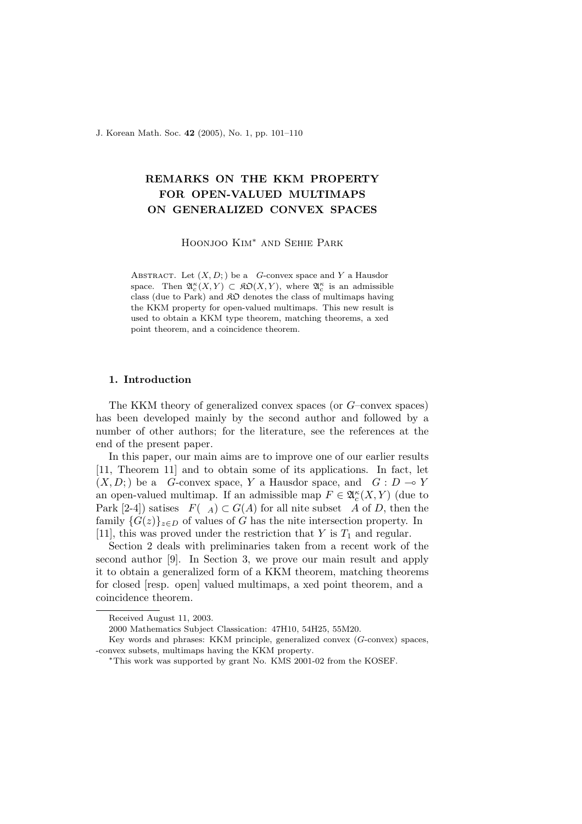J. Korean Math. Soc. **42** (2005), No. 1, pp. 101–110

# **REMARKS ON THE KKM PROPERTY FOR OPEN-VALUED MULTIMAPS ON GENERALIZED CONVEX SPACES**

Hoonjoo Kim*<sup>∗</sup>* and Sehie Park

Abstract. Let (*X, D*;) be a *G*-convex space and *Y* a Hausdor space. Then  $\mathfrak{A}_{c}^{\kappa}(X,Y) \subset \mathfrak{K}(\X,Y)$ , where  $\mathfrak{A}_{c}^{\kappa}$  is an admissible class (due to Park) and  $\mathcal{R}$  denotes the class of multimaps having the KKM property for open-valued multimaps. This new result is used to obtain a KKM type theorem, matching theorems, a xed point theorem, and a coincidence theorem.

# **1. Introduction**

The KKM theory of generalized convex spaces (or *G*–convex spaces) has been developed mainly by the second author and followed by a number of other authors; for the literature, see the references at the end of the present paper.

In this paper, our main aims are to improve one of our earlier results [11, Theorem 11] and to obtain some of its applications. In fact, let  $(X, D)$  be a *G*-convex space, *Y* a Hausdor space, and  $G: D \rightarrow Y$ an open-valued multimap. If an admissible map  $F \in \mathfrak{A}_{c}^{\kappa}(X, Y)$  (due to Park [2-4]) satises  $F(A) \subset G(A)$  for all nite subset A of D, then the family  ${G(z)}_{z \in D}$  of values of *G* has the nite intersection property. In [11], this was proved under the restriction that  $Y$  is  $T_1$  and regular.

Section 2 deals with preliminaries taken from a recent work of the second author [9]. In Section 3, we prove our main result and apply it to obtain a generalized form of a KKM theorem, matching theorems for closed [resp. open] valued multimaps, a xed point theorem, and a coincidence theorem.

Received August 11, 2003.

<sup>2000</sup> Mathematics Subject Classication: 47H10, 54H25, 55M20.

Key words and phrases: KKM principle, generalized convex (*G*-convex) spaces, -convex subsets, multimaps having the KKM property.

*<sup>∗</sup>*This work was supported by grant No. KMS 2001-02 from the KOSEF.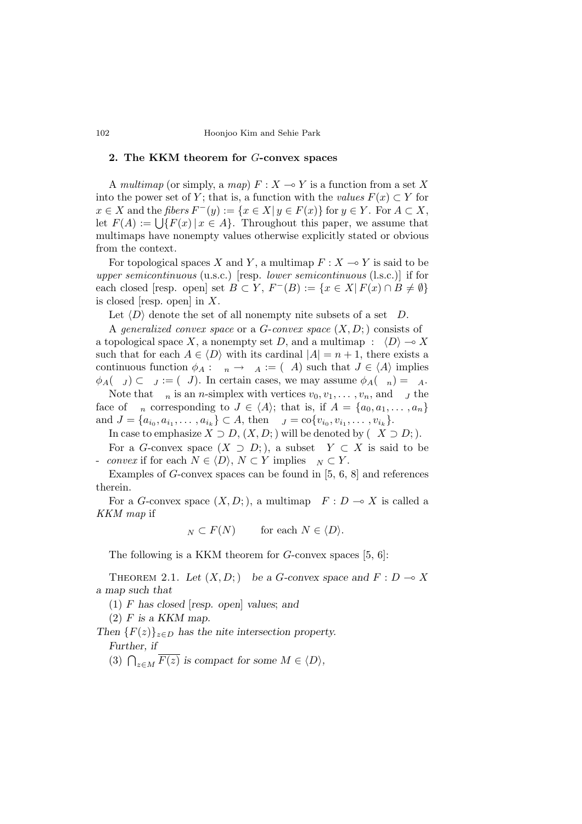## 102 Hoonjoo Kim and Sehie Park

## **2. The KKM theorem for** *G***-convex spaces**

A *multimap* (or simply, a *map*)  $F: X \to Y$  is a function from a set X into the power set of *Y*; that is, a function with the *values*  $F(x) \subset Y$  for  $x \in X$  and the fibers  $F^-(y) := \{x \in X | y \in F(x)\}$  for  $y \in Y$ . For  $A \subset X$ , let  $F(A) := \bigcup \{ F(x) \mid x \in A \}.$  Throughout this paper, we assume that multimaps have nonempty values otherwise explicitly stated or obvious from the context.

For topological spaces X and Y, a multimap  $F: X \to Y$  is said to be *upper semicontinuous* (u.s.c.) [resp. *lower semicontinuous* (l.s.c.)] if for each closed [resp. open] set  $B \subset Y$ ,  $F^{-}(B) := \{x \in X | F(x) \cap B \neq \emptyset\}$ is closed [resp. open] in *X*.

Let  $\langle D \rangle$  denote the set of all nonempty nite subsets of a set *D*.

A *generalized convex space* or a *G*-*convex space* (*X, D*;) consists of a topological space *X*, a nonempty set *D*, and a multimap :  $\langle D \rangle \rightarrow X$ such that for each  $A \in \langle D \rangle$  with its cardinal  $|A| = n + 1$ , there exists a continuous function  $\phi_A: n \to A := (A)$  such that  $J \in \langle A \rangle$  implies  $\phi_A$ ( *J*) ⊂ *J* := ( *J*). In certain cases, we may assume  $\phi_A$ ( *n*) = *A*.

Note that  $n \text{ is an } n\text{-simplex with vertices } v_0, v_1, \ldots, v_n, \text{ and } J$  the face of  $n \text{ corresponding to } J \in \langle A \rangle$ ; that is, if  $A = \{a_0, a_1, \ldots, a_n\}$ and  $J = \{a_{i_0}, a_{i_1}, \dots, a_{i_k}\} \subset A$ , then  $J = \text{co}\{v_{i_0}, v_{i_1}, \dots, v_{i_k}\}.$ 

In case to emphasize  $X \supset D$ ,  $(X, D)$ ; will be denoted by  $(X \supset D)$ .

For a *G*-convex space  $(X \supset D)$ , a subset  $Y \subset X$  is said to be *- convex* if for each *N* ∈  $\langle D \rangle$ , *N* ⊂ *Y* implies  $N \subset Y$ .

Examples of *G*-convex spaces can be found in [5, 6, 8] and references therein.

For a *G*-convex space  $(X, D; )$ , a multimap  $F: D \to X$  is called a *KKM map* if

 $N \subset F(N)$  for each  $N \in \langle D \rangle$ .

The following is a KKM theorem for *G*-convex spaces [5, 6]:

THEOREM 2.1. Let  $(X, D; )$  be a *G*-convex space and  $F: D \to X$ *a map such that*

(1) *F has closed* [*resp. open*] *values*; *and*

(2) *F is a KKM map.*

- *Then*  ${F(z)}_{z \in D}$  *has the nite intersection property. Further, if*
	- (3)  $\bigcap_{z \in M} \overline{F(z)}$  *is compact for some*  $M \in \langle D \rangle$ *,*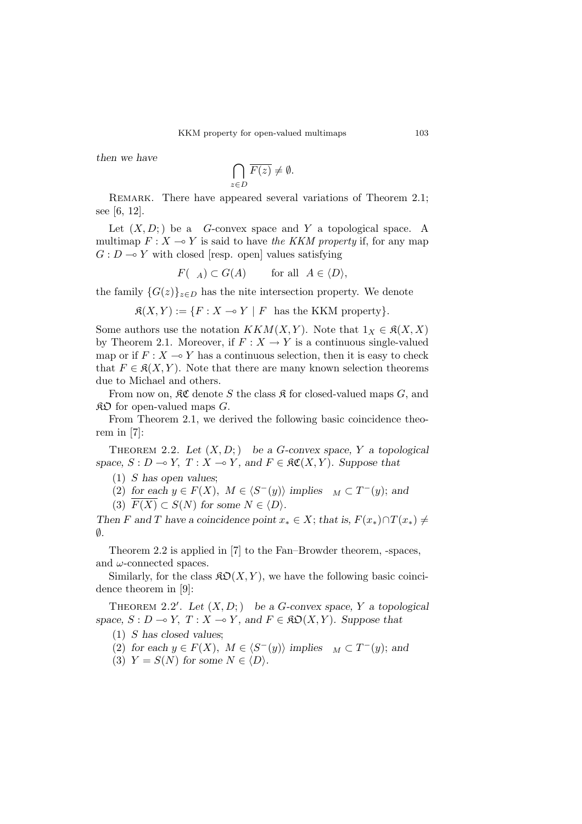*then we have*

$$
\bigcap_{z \in D} \overline{F(z)} \neq \emptyset.
$$

REMARK. There have appeared several variations of Theorem 2.1; see [6, 12].

Let  $(X, D)$ ; be a *G*-convex space and *Y* a topological space. A multimap  $F: X \to Y$  is said to have the KKM property if, for any map  $G: D \longrightarrow Y$  with closed [resp. open] values satisfying

$$
F(\,A) \subset G(A) \qquad \text{for all} \ \ A \in \langle D \rangle,
$$

the family  ${G(z)}_{z \in D}$  has the nite intersection property. We denote

 $\mathfrak{K}(X, Y) := \{ F : X \to Y \mid F \text{ has the KKM property} \}.$ 

Some authors use the notation  $KKM(X,Y)$ . Note that  $1_X \in \mathfrak{K}(X,X)$ by Theorem 2.1. Moreover, if  $F: X \to Y$  is a continuous single-valued map or if  $F: X \to Y$  has a continuous selection, then it is easy to check that  $F \in \mathfrak{K}(X, Y)$ . Note that there are many known selection theorems due to Michael and others.

From now on,  $\mathfrak{RC}$  denote S the class  $\mathfrak K$  for closed-valued maps G, and  $\mathfrak{K} \mathfrak{O}$  for open-valued maps  $G$ .

From Theorem 2.1, we derived the following basic coincidence theorem in [7]:

THEOREM 2.2. Let  $(X, D)$  be a *G*-convex space, *Y* a topological *space,*  $S: D \to Y$ ,  $T: X \to Y$ , and  $F \in \mathfrak{RC}(X, Y)$ *. Suppose that* 

(1) *S has open values*;

(2) *for each*  $y \in F(X)$ *,*  $M \in \langle S^{-}(y) \rangle$  *implies*  $M \subset T^{-}(y)$ *; and* 

(3)  $F(X) \subset S(N)$  for some  $N \in \langle D \rangle$ .

*Then F* and *T* have a coincidence point  $x_* \in X$ ; that is,  $F(x_*) \cap T(x_*) \neq$ *∅.*

Theorem 2.2 is applied in [7] to the Fan–Browder theorem,-spaces, and  $\omega$ -connected spaces.

Similarly, for the class  $\mathfrak{SO}(X,Y)$ , we have the following basic coincidence theorem in [9]:

THEOREM 2.2<sup>'</sup>. Let  $(X, D; )$  be a *G*-convex space, *Y* a topological *space,*  $S: D \to Y$ ,  $T: X \to Y$ , and  $F \in \mathfrak{KO}(X, Y)$ *. Suppose that* 

(1) *S has closed values*;

(2) *for each*  $y \in F(X)$ *,*  $M \in \langle S^-(y) \rangle$  *implies*  $M \subset T^-(y)$ *; and* 

(3)  $Y = S(N)$  for some  $N \in \langle D \rangle$ .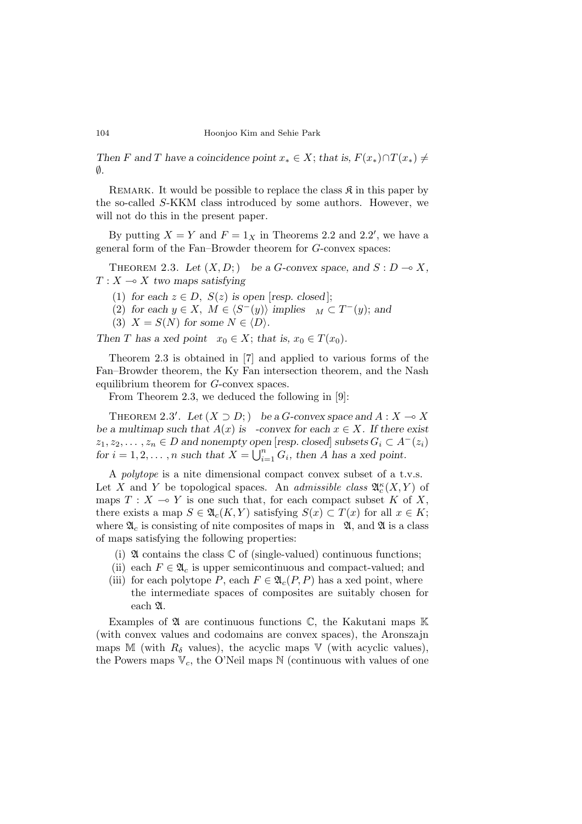*Then F* and *T* have a coincidence point  $x_* \in X$ ; that is,  $F(x_*) \cap T(x_*) \neq$ *∅.*

REMARK. It would be possible to replace the class  $\mathfrak{K}$  in this paper by the so-called *S*-KKM class introduced by some authors. However, we will not do this in the present paper.

By putting  $X = Y$  and  $F = 1_X$  in Theorems 2.2 and 2.2<sup>'</sup>, we have a general form of the Fan–Browder theorem for *G*-convex spaces:

THEOREM 2.3. Let  $(X, D; )$  be a *G*-convex space, and  $S: D \to X$ ,  $T: X \rightarrow X$  *two maps satisfying* 

- (1) *for each*  $z \in D$ ,  $S(z)$  *is open* [*resp. closed*];
- (2) *for each*  $y \in X$ ,  $M \in \langle S^{-}(y) \rangle$  *implies*  $M \subset T^{-}(y)$ ; *and*
- (3)  $X = S(N)$  for some  $N \in \langle D \rangle$ .

*Then T* has a xed point  $x_0 \in X$ ; *that is,*  $x_0 \in T(x_0)$ *.* 

Theorem 2.3 is obtained in [7] and applied to various forms of the Fan–Browder theorem, the Ky Fan intersection theorem, and the Nash equilibrium theorem for *G*-convex spaces.

From Theorem 2.3, we deduced the following in [9]:

THEOREM 2.3'. Let  $(X \supset D)$ ; be a *G*-convex space and  $A: X \to X$ *be a multimap such that*  $A(x)$  *is*  $\sim$ *convex for each*  $x \in X$ *. If there exist*  $z_1, z_2, \ldots, z_n \in D$  and nonempty open [*resp. closed*] *subsets*  $G_i \subset A^-(z_i)$ *for*  $i = 1, 2, \ldots, n$  *such that*  $\overline{X} = \bigcup_{i=1}^{n} G_i$ , *then A has a xed point.* 

A *polytope* is a nite dimensional compact convex subset of a t.v.s. Let *X* and *Y* be topological spaces. An *admissible class*  $\mathfrak{A}_{c}^{\kappa}(X, Y)$  of maps  $T : X \to Y$  is one such that, for each compact subset K of X, there exists a map  $S \in \mathfrak{A}_{c}(K, Y)$  satisfying  $S(x) \subset T(x)$  for all  $x \in K$ ; where  $\mathfrak{A}_c$  is consisting of nite composites of maps in  $\mathfrak{A}$ , and  $\mathfrak{A}$  is a class of maps satisfying the following properties:

- (i)  $\mathfrak A$  contains the class  $\mathbb C$  of (single-valued) continuous functions;
- (ii) each  $F \in \mathfrak{A}_c$  is upper semicontinuous and compact-valued; and
- (iii) for each polytope *P*, each  $F \in \mathfrak{A}_{c}(P, P)$  has a xed point, where the intermediate spaces of composites are suitably chosen for each  $\mathfrak{A}$ .

Examples of  $\mathfrak A$  are continuous functions  $\mathbb C$ , the Kakutani maps  $\mathbb K$ (with convex values and codomains are convex spaces), the Aronszajn maps M (with  $R_\delta$  values), the acyclic maps V (with acyclic values), the Powers maps  $V_c$ , the O'Neil maps  $N$  (continuous with values of one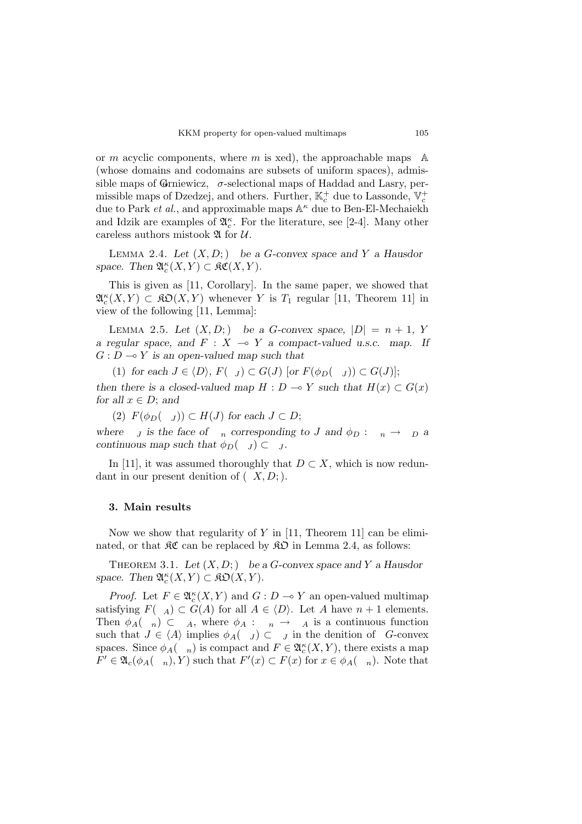or *m* acyclic components, where *m* is xed), the approachable maps  $\mathbb{A}$ (whose domains and codomains are subsets of uniform spaces), admissible maps of Grniewicz,  $\sigma$ -selectional maps of Haddad and Lasry, permissible maps of Dzedzej, and others. Further,  $\mathbb{K}_{c}^{+}$  due to Lassonde,  $\mathbb{V}_{c}^{+}$ due to Park *et al.*, and approximable maps  $\mathbb{A}^{\kappa}$  due to Ben-El-Mechaiekh and Idzik are examples of  $\mathfrak{A}_{c}^{\kappa}$ . For the literature, see [2-4]. Many other careless authors mistook  $\mathfrak A$  for  $\mathcal U$ .

LEMMA 2.4. Let  $(X, D)$  be a *G*-convex space and *Y* a Hausdor *space.* Then  $\mathfrak{A}_{c}^{\kappa}(X, Y) \subset \mathfrak{KC}(X, Y)$ *.* 

This is given as [11, Corollary]. In the same paper, we showed that  $\mathfrak{A}_{c}^{\kappa}(X, Y) \subset \mathfrak{K} \mathfrak{O}(X, Y)$  whenever *Y* is  $T_1$  regular [11, Theorem 11] in view of the following [11, Lemma]:

**LEMMA 2.5.** Let  $(X, D; )$  be a *G*-convex space,  $|D| = n + 1$ , *Y a regular space, and*  $F: X \rightarrow Y$  *a compact-valued u.s.c. map.* If  $G: D \longrightarrow Y$  *is an open-valued map such that* 

(1) for each  $J \in \langle D \rangle$ ,  $F(\overline{J}) \subset G(J)$  [or  $F(\phi_D(\overline{J})) \subset G(J)$ ];

*then there is a closed-valued map*  $H : D \to Y$  *such that*  $H(x) \subset G(x)$ *for all*  $x \in D$ ; *and* 

(2)  $F(\phi_D(-J)) \subset H(J)$  for each  $J \subset D$ ;

*where J* is the face of  $n$  corresponding to *J* and  $\phi_D$ :  $n \to D$  *a continuous map such that*  $\phi_D(-J) \subset J$ .

In [11], it was assumed thoroughly that  $D \subset X$ , which is now redundant in our present denition of  $(X, D)$ .

# **3. Main results**

Now we show that regularity of *Y* in [11, Theorem 11] can be eliminated, or that  $\Re \mathfrak{C}$  can be replaced by  $\Re \mathfrak{D}$  in Lemma 2.4, as follows:

THEOREM 3.1. Let  $(X, D; )$  be a *G*-convex space and *Y* a Hausdor *space.* Then  $\mathfrak{A}_{c}^{\kappa}(X, Y) \subset \mathfrak{K} \mathfrak{O}(X, Y)$ *.* 

*Proof.* Let  $F \in \mathfrak{A}_{c}^{\kappa}(X, Y)$  and  $G : D \to Y$  an open-valued multimap satisfying  $F(\mathbf{A}) \subset G(\mathbf{A})$  for all  $\mathbf{A} \in \langle \mathbf{D} \rangle$ . Let  $\mathbf{A}$  have  $n+1$  elements. Then  $\phi_A(-n) \subset A$ , where  $\phi_A: n \to A$  is a continuous function such that  $J \in \langle A \rangle$  implies  $\phi_A(-J) \subset J$  in the denition of *G*-convex spaces. Since  $\phi_A(-n)$  is compact and  $F \in \mathfrak{A}_c^{\kappa}(X, Y)$ , there exists a map  $F' \in \mathfrak{A}_c(\phi_A(-n), Y)$  such that  $F'(x) \subset F(x)$  for  $x \in \phi_A(-n)$ . Note that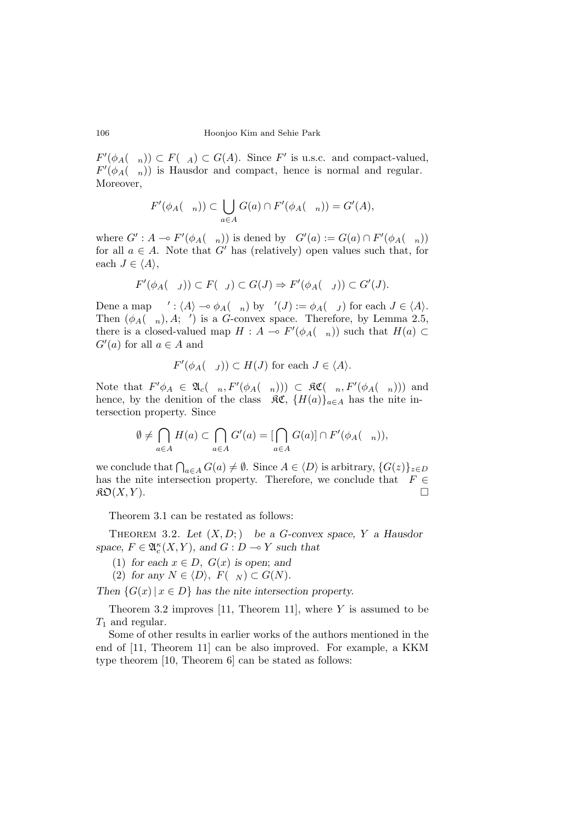*F*<sup> $′$ </sup>( $\phi$ <sup> $A$ </sup>( *n*)) ⊂ *F*( *A*) ⊂ *G*(*A*). Since *F*<sup> $′$ </sup> is u.s.c. and compact-valued,  $F'(\phi_A(-n))$  is Hausdor and compact, hence is normal and regular. Moreover,

$$
F'(\phi_A(-_n)) \subset \bigcup_{a \in A} G(a) \cap F'(\phi_A(-_n)) = G'(A),
$$

where  $G' : A \to F'(\phi_A(-n))$  is dened by  $G'(a) := G(a) \cap F'(\phi_A(-n))$ for all  $a \in A$ . Note that  $G'$  has (relatively) open values such that, for each  $J \in \langle A \rangle$ ,

$$
F'(\phi_A(-J)) \subset F(-J) \subset G(J) \Rightarrow F'(\phi_A(-J)) \subset G'(J).
$$

Dene a map  $\prime : \langle A \rangle \rightarrow \phi_A(\gamma_n)$  by  $\prime'(J) := \phi_A(\gamma_J)$  for each  $J \in \langle A \rangle$ . Then  $(\phi_A(-n), A; ' )$  is a *G*-convex space. Therefore, by Lemma 2.5, there is a closed-valued map  $H : A \to F'(\phi_A(-n))$  such that  $H(a) \subset$  $G'(a)$  for all  $a \in A$  and

$$
F'(\phi_A(-J)) \subset H(J)
$$
 for each  $J \in \langle A \rangle$ .

Note that  $F' \phi_A \in \mathfrak{A}_c(\mathfrak{n}, F'(\phi_A(\mathfrak{n}))) \subset \mathfrak{K} \mathfrak{C}(\mathfrak{n}, F'(\phi_A(\mathfrak{n})))$  and hence, by the denition of the class  $\mathcal{RC}, \{H(a)\}_{a \in A}$  has the nite intersection property. Since

$$
\emptyset \neq \bigcap_{a \in A} H(a) \subset \bigcap_{a \in A} G'(a) = [\bigcap_{a \in A} G(a)] \cap F'(\phi_A(\mathfrak{n})),
$$

we conclude that  $\bigcap_{a \in A} G(a) \neq \emptyset$ . Since  $A \in \langle D \rangle$  is arbitrary,  $\{G(z)\}_{z \in D}$ has the nite intersection property. Therefore, we conclude that  $F \in$  $\mathfrak{RO}(X,Y).$ 

Theorem 3.1 can be restated as follows:

THEOREM 3.2. Let  $(X, D)$  be a *G*-convex space, *Y* a Hausdor *space,*  $F \in \mathfrak{A}_c^{\kappa}(X, Y)$ *, and*  $G : D \to Y$  *such that* 

- (1) *for each*  $x \in D$ ,  $G(x)$  *is open; and*
- (2) *for any*  $N \in \langle D \rangle$ ,  $F(\gamma) \subset G(N)$ .

*Then*  $\{G(x) | x \in D\}$  *has the nite intersection property.* 

Theorem 3.2 improves [11, Theorem 11], where *Y* is assumed to be *T*<sup>1</sup> and regular.

Some of other results in earlier works of the authors mentioned in the end of [11, Theorem 11] can be also improved. For example, a KKM type theorem [10, Theorem 6] can be stated as follows: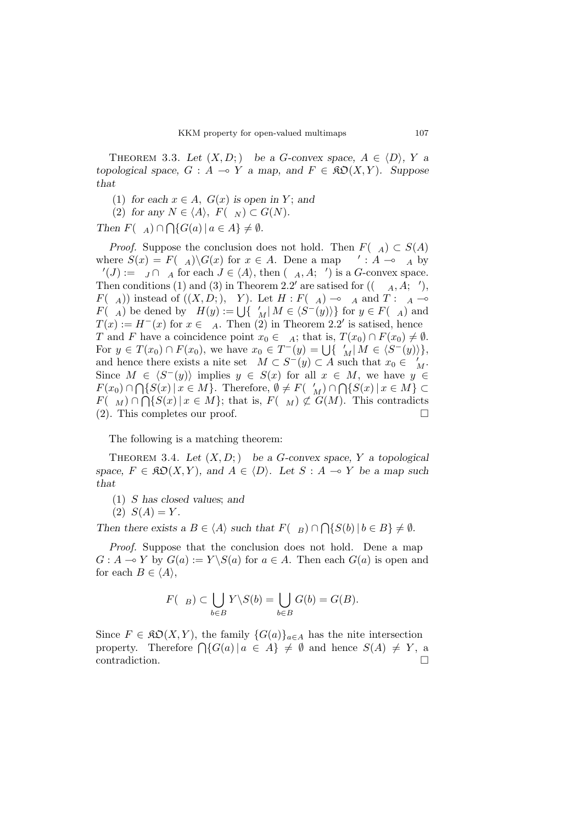THEOREM 3.3. Let  $(X, D; )$  be a *G*-convex space,  $A \in \langle D \rangle$ ,  $Y$  a *topological space,*  $G : A \to Y$  *a map, and*  $F \in \mathfrak{K}O(X, Y)$ *. Suppose that*

- (1) *for each*  $x \in A$ ,  $G(x)$  *is open in*  $Y$ ; *and*
- (2) *for any*  $N \in \langle A \rangle$ ,  $F(\gamma) \subset G(N)$ .

*Then*  $F(\begin{bmatrix} A \end{bmatrix} \cap \bigcap \{G(a) \mid a \in A\} \neq \emptyset$ .

*Proof.* Suppose the conclusion does not hold. Then  $F(A) \subset S(A)$ where  $S(x) = F(\begin{array}{c} A \end{array}) \setminus G(x)$  for  $x \in A$ . Dene a map  $\begin{array}{c} I : A \multimap A$  by  $J'(J) := J \cap A$  for each  $J \in \langle A \rangle$ , then  $(A, A; \setminus A)$  is a *G*-convex space. Then conditions (1) and (3) in Theorem 2.2' are satised for  $((A, A; '),$ *F*(*A*)) instead of  $((X, D;), Y)$ . Let  $H: F(A) \to A$  and  $T: A \to B$ *F*(*A*) be dened by  $H(y) := \bigcup \{ \gamma_M | M \in \langle S^-(y) \rangle \}$  for  $y \in F(-A)$  and  $T(x) := H^{-}(x)$  for  $x \in A$ . Then (2) in Theorem 2.2' is satised, hence *T* and *F* have a coincidence point  $x_0 \in A$ ; that is,  $T(x_0) \cap F(x_0) \neq \emptyset$ . For  $y \in T(x_0) \cap F(x_0)$ , we have  $x_0 \in T^-(y) = \bigcup \{ \begin{array}{l} \prime \\ M \end{array} \mid M \in \langle S^-(y) \rangle \},$ and hence there exists a nite set  $M \subset S^-(y) \subset A$  such that  $x_0 \in \gamma_M$ . Since  $M \in \langle S^{-}(y) \rangle$  implies  $y \in S(x)$  for all  $x \in M$ , we have  $y \in$  $F(x_0) \cap \bigcap \{S(x) \mid x \in M\}$ . Therefore,  $\emptyset \neq F(\gamma_M) \cap \bigcap \{S(x) \mid x \in M\} \subset$ *F*(*M*) ∩  $\bigcap \{S(x) \mid x \in M\}$ ; that is, *F*(*M*)  $\subset \mathcal{L}(M)$ . This contradicts (2). This completes our proof.  $\square$ 

The following is a matching theorem:

THEOREM 3.4. Let  $(X, D)$  be a *G*-convex space, *Y* a topological *space,*  $F \in \mathfrak{RO}(X, Y)$ *, and*  $A \in \langle D \rangle$ *. Let*  $S : A \to Y$  *be a map such that*

- (1) *S has closed values*; *and*
- $(2)$  *S* $(A) = Y$ *.*

*Then there exists a*  $B \in \langle A \rangle$  *such that*  $F(\begin{bmatrix} B \end{bmatrix} \cap \bigcap \{S(b) | b \in B\} \neq \emptyset$ *.* 

*Proof.* Suppose that the conclusion does not hold. Dene a map  $G: A \rightarrow Y$  by  $G(a) := Y \setminus S(a)$  for  $a \in A$ . Then each  $G(a)$  is open and for each  $B \in \langle A \rangle$ ,

$$
F(\underset{B}{B}) \subset \bigcup_{b \in B} Y \backslash S(b) = \bigcup_{b \in B} G(b) = G(B).
$$

Since  $F \in \mathfrak{RO}(X, Y)$ , the family  $\{G(a)\}_{a \in A}$  has the nite intersection property. Therefore  $\bigcap \{G(a) | a \in A\} \neq \emptyset$  and hence  $S(A) \neq Y$ , a contradiction.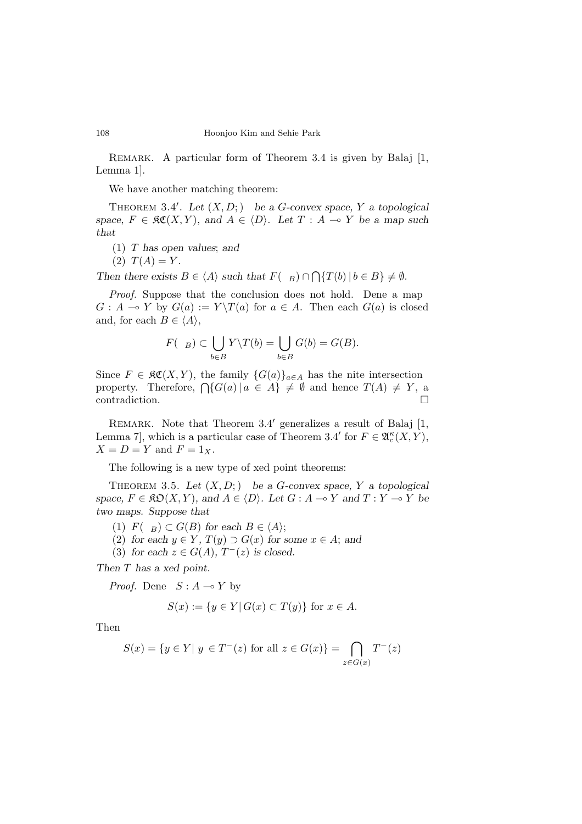REMARK. A particular form of Theorem 3.4 is given by Balaj [1, Lemma 1].

We have another matching theorem:

THEOREM 3.4'. Let  $(X, D)$  be a *G*-convex space, *Y* a topological *space,*  $F \in \mathfrak{RC}(X, Y)$ *, and*  $A \in \langle D \rangle$ *. Let*  $T : A \multimap Y$  *be a map such that*

(1) *T has open values*; *and*

 $(T(2)$   $T(A) = Y$ .

*Then there exists*  $B \in \langle A \rangle$  *such that*  $F(-B) \cap \bigcap \{T(b) | b \in B\} \neq \emptyset$ *.* 

*Proof.* Suppose that the conclusion does not hold. Dene a map  $G: A \rightarrow Y$  by  $G(a) := Y \setminus T(a)$  for  $a \in A$ . Then each  $G(a)$  is closed and, for each  $B \in \langle A \rangle$ ,

$$
F(\mathbf{B}) \subset \bigcup_{b \in B} Y \backslash T(b) = \bigcup_{b \in B} G(b) = G(B).
$$

Since  $F \in \mathfrak{RC}(X, Y)$ , the family  $\{G(a)\}_{a \in A}$  has the nite intersection property. Therefore,  $\bigcap \{G(a) | a \in A\} \neq \emptyset$  and hence  $T(A) \neq Y$ , a contradiction.  $\Box$ 

REMARK. Note that Theorem 3.4' generalizes a result of Balaj [1, Lemma 7,, which is a particular case of Theorem 3.4<sup>*'*</sup> for  $F \in \mathfrak{A}_{c}^{\kappa}(X, Y)$ ,  $X = D = Y$  and  $F = 1_X$ .

The following is a new type of xed point theorems:

THEOREM 3.5. Let  $(X, D)$  be a *G*-convex space, *Y* a topological *space,*  $F \in \mathfrak{RO}(X, Y)$ *, and*  $A \in \langle D \rangle$ *. Let*  $G : A \to Y$  and  $T : Y \to Y$  be *two maps. Suppose that*

- (1)  $F(\begin{bmatrix} B \end{bmatrix}) \subset G(B)$  for each  $B \in \langle A \rangle$ ;
- (2) *for each*  $y \in Y$ ,  $T(y) \supset G(x)$  *for some*  $x \in A$ ; *and*
- (3) for each  $z \in G(A)$ ,  $T^{-}(z)$  is closed.

*Then T has axed point.*

*Proof.* Dene  $S: A \rightarrow Y$  by

$$
S(x) := \{ y \in Y | G(x) \subset T(y) \}
$$
 for  $x \in A$ .

Then

$$
S(x) = \{ y \in Y | y \in T^-(z) \text{ for all } z \in G(x) \} = \bigcap_{z \in G(x)} T^-(z)
$$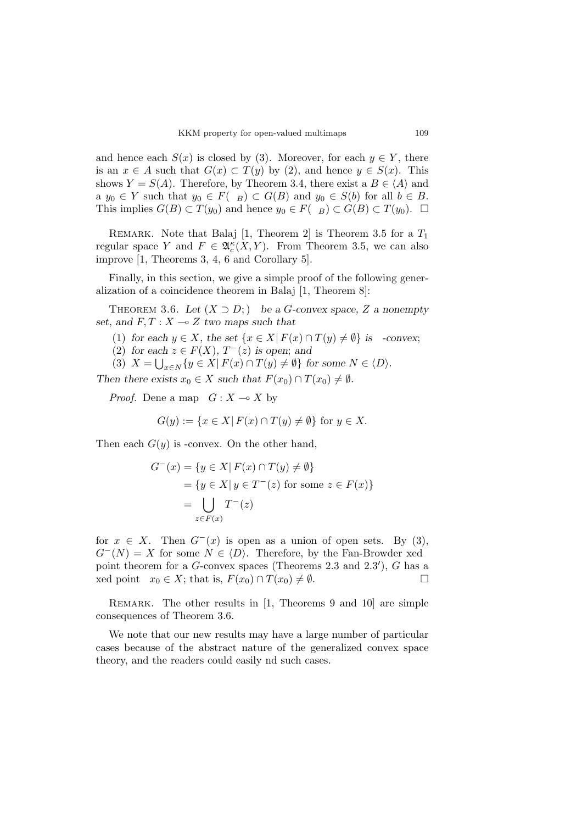and hence each  $S(x)$  is closed by (3). Moreover, for each  $y \in Y$ , there is an  $x \in A$  such that  $G(x) \subset T(y)$  by (2), and hence  $y \in S(x)$ . This shows  $Y = S(A)$ . Therefore, by Theorem 3.4, there exist a  $B \in \langle A \rangle$  and  $a \ y_0 \in Y$  such that  $y_0 \in F(\begin{bmatrix} B \end{bmatrix}) \subset G(B)$  and  $y_0 \in S(b)$  for all  $b \in B$ . This implies *G*(*B*) ⊂ *T*(*y*<sub>0</sub>) and hence *y*<sub>0</sub> ∈ *F*( $B$ ) ⊂ *G*(*B*) ⊂ *T*(*y*<sub>0</sub>). □

Remark. Note that Balaj [1, Theorem 2] is Theorem 3.5 for a *T*<sup>1</sup> regular space *Y* and  $F \in \mathfrak{A}_{c}^{\kappa}(X, Y)$ . From Theorem 3.5, we can also improve [1, Theorems 3, 4, 6 and Corollary 5].

Finally, in this section, we give a simple proof of the following generalization of a coincidence theorem in Balaj [1, Theorem 8]:

THEOREM 3.6. Let  $(X \supset D)$ ; be a *G*-convex space, *Z* a nonempty *set, and*  $F, T: X \rightarrow Z$  *two maps such that* 

- (1) *for each*  $y \in X$ *, the set*  $\{x \in X | F(x) \cap T(y) \neq \emptyset\}$  *is -convex*;
- (2) for each  $z \in F(X)$ ,  $T^{-}(z)$  is open; and
- (3)  $X = \bigcup_{x \in N} \{ y \in X \mid F(x) \cap T(y) \neq \emptyset \}$  for some  $N \in \langle D \rangle$ .

*Then there exists*  $x_0 \in X$  *such that*  $F(x_0) \cap T(x_0) \neq \emptyset$ *.* 

*Proof.* Dene a map  $G: X \rightarrow X$  by

$$
G(y) := \{ x \in X | F(x) \cap T(y) \neq \emptyset \} \text{ for } y \in X.
$$

Then each  $G(y)$  is -convex. On the other hand,

$$
G^{-}(x) = \{y \in X | F(x) \cap T(y) \neq \emptyset\}
$$

$$
= \{y \in X | y \in T^{-}(z) \text{ for some } z \in F(x)\}
$$

$$
= \bigcup_{z \in F(x)} T^{-}(z)
$$

for  $x \in X$ . Then  $G^{-}(x)$  is open as a union of open sets. By (3),  $G^{-}(N) = X$  for some  $N \in \langle D \rangle$ . Therefore, by the Fan-Browder xed point theorem for a *G*-convex spaces (Theorems 2.3 and 2.3*′* ), *G* has a xed point  $x_0 \in X$ ; that is,  $F(x_0) \cap T(x_0) \neq \emptyset$ . □

REMARK. The other results in [1, Theorems 9 and 10] are simple consequences of Theorem 3.6.

We note that our new results may have a large number of particular cases because of the abstract nature of the generalized convex space theory, and the readers could easily nd such cases.